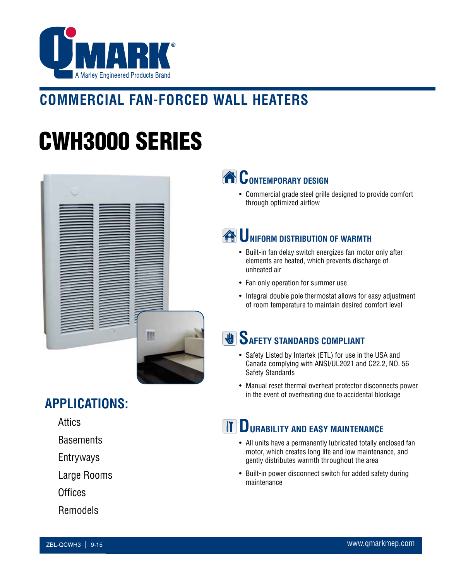

# **COMMERCIAL FAN-FORCED WALL HEATERS**

# CWH3000 SERIES



### **APPLICATIONS:**

Attics

**Basements** 

Entryways

Large Rooms

**Offices** 

Remodels

# **CONTEMPORARY DESIGN**

• Commercial grade steel grille designed to provide comfort through optimized airflow

## **EXAMPLE THE UNIFORM DISTRIBUTION OF WARMTH**

- Built-in fan delay switch energizes fan motor only after elements are heated, which prevents discharge of unheated air
- Fan only operation for summer use
- Integral double pole thermostat allows for easy adjustment of room temperature to maintain desired comfort level

### **SAFETY STANDARDS COMPLIANT**

- Safety Listed by Intertek (ETL) for use in the USA and Canada complying with ANSI/UL2021 and C22.2, NO. 56 Safety Standards
- Manual reset thermal overheat protector disconnects power in the event of overheating due to accidental blockage

### **THE DURABILITY AND EASY MAINTENANCE**

- All units have a permanently lubricated totally enclosed fan motor, which creates long life and low maintenance, and gently distributes warmth throughout the area
- Built-in power disconnect switch for added safety during maintenance